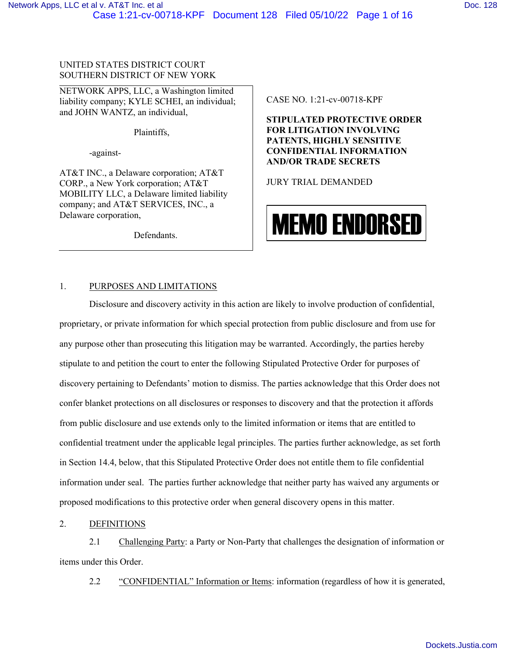## UNITED STATES DISTRICT COURT SOUTHERN DISTRICT OF NEW YORK

NETWORK APPS, LLC, a Washington limited liability company; KYLE SCHEI, an individual; and JOHN WANTZ, an individual,

Plaintiffs,

-against-

AT&T INC., a Delaware corporation; AT&T CORP., a New York corporation; AT&T MOBILITY LLC, a Delaware limited liability company; and AT&T SERVICES, INC., a Delaware corporation,

Defendants.

CASE NO. 1:21-cv-00718-KPF

**STIPULATED PROTECTIVE ORDER FOR LITIGATION INVOLVING PATENTS, HIGHLY SENSITIVE CONFIDENTIAL INFORMATION AND/OR TRADE SECRETS**

JURY TRIAL DEMANDED



# 1. PURPOSES AND LIMITATIONS

Disclosure and discovery activity in this action are likely to involve production of confidential, proprietary, or private information for which special protection from public disclosure and from use for any purpose other than prosecuting this litigation may be warranted. Accordingly, the parties hereby stipulate to and petition the court to enter the following Stipulated Protective Order for purposes of discovery pertaining to Defendants' motion to dismiss. The parties acknowledge that this Order does not confer blanket protections on all disclosures or responses to discovery and that the protection it affords from public disclosure and use extends only to the limited information or items that are entitled to confidential treatment under the applicable legal principles. The parties further acknowledge, as set forth in Section 14.4, below, that this Stipulated Protective Order does not entitle them to file confidential information under seal. The parties further acknowledge that neither party has waived any arguments or proposed modifications to this protective order when general discovery opens in this matter.

# 2. DEFINITIONS

2.1 Challenging Party: a Party or Non-Party that challenges the designation of information or items under this Order.

2.2 "CONFIDENTIAL" Information or Items: information (regardless of how it is generated,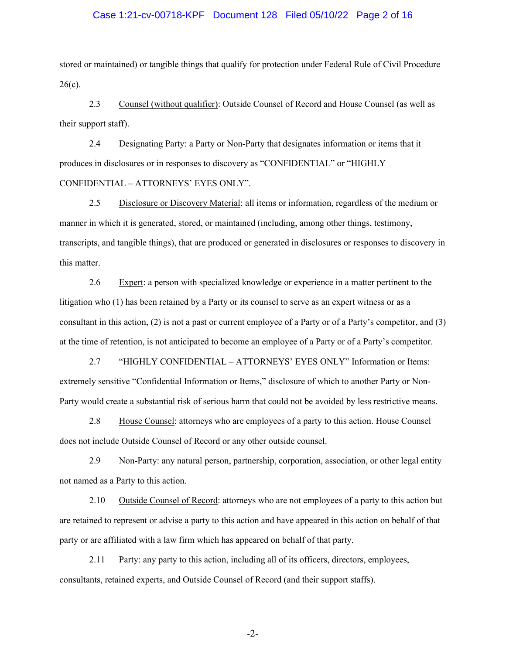## Case 1:21-cv-00718-KPF Document 128 Filed 05/10/22 Page 2 of 16

stored or maintained) or tangible things that qualify for protection under Federal Rule of Civil Procedure  $26(c)$ .

2.3 Counsel (without qualifier): Outside Counsel of Record and House Counsel (as well as their support staff).

2.4 Designating Party: a Party or Non-Party that designates information or items that it produces in disclosures or in responses to discovery as "CONFIDENTIAL" or "HIGHLY CONFIDENTIAL – ATTORNEYS' EYES ONLY".

2.5 Disclosure or Discovery Material: all items or information, regardless of the medium or manner in which it is generated, stored, or maintained (including, among other things, testimony, transcripts, and tangible things), that are produced or generated in disclosures or responses to discovery in this matter.

2.6 Expert: a person with specialized knowledge or experience in a matter pertinent to the litigation who (1) has been retained by a Party or its counsel to serve as an expert witness or as a consultant in this action, (2) is not a past or current employee of a Party or of a Party's competitor, and (3) at the time of retention, is not anticipated to become an employee of a Party or of a Party's competitor.

2.7 "HIGHLY CONFIDENTIAL – ATTORNEYS' EYES ONLY" Information or Items: extremely sensitive "Confidential Information or Items," disclosure of which to another Party or Non-Party would create a substantial risk of serious harm that could not be avoided by less restrictive means.

2.8 House Counsel: attorneys who are employees of a party to this action. House Counsel does not include Outside Counsel of Record or any other outside counsel.

2.9 Non-Party: any natural person, partnership, corporation, association, or other legal entity not named as a Party to this action.

2.10 Outside Counsel of Record: attorneys who are not employees of a party to this action but are retained to represent or advise a party to this action and have appeared in this action on behalf of that party or are affiliated with a law firm which has appeared on behalf of that party.

2.11 Party: any party to this action, including all of its officers, directors, employees, consultants, retained experts, and Outside Counsel of Record (and their support staffs).

-2-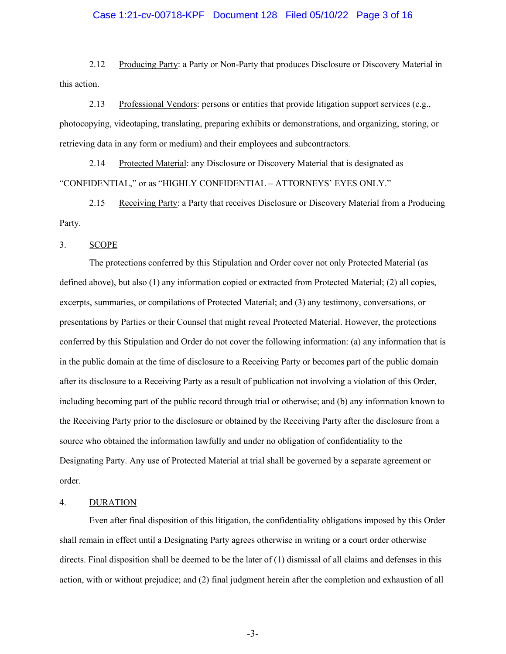## Case 1:21-cv-00718-KPF Document 128 Filed 05/10/22 Page 3 of 16

2.12 Producing Party: a Party or Non-Party that produces Disclosure or Discovery Material in this action.

2.13 Professional Vendors: persons or entities that provide litigation support services (e.g., photocopying, videotaping, translating, preparing exhibits or demonstrations, and organizing, storing, or retrieving data in any form or medium) and their employees and subcontractors.

2.14 Protected Material: any Disclosure or Discovery Material that is designated as "CONFIDENTIAL," or as "HIGHLY CONFIDENTIAL – ATTORNEYS' EYES ONLY."

2.15 Receiving Party: a Party that receives Disclosure or Discovery Material from a Producing Party.

#### 3. SCOPE

The protections conferred by this Stipulation and Order cover not only Protected Material (as defined above), but also (1) any information copied or extracted from Protected Material; (2) all copies, excerpts, summaries, or compilations of Protected Material; and (3) any testimony, conversations, or presentations by Parties or their Counsel that might reveal Protected Material. However, the protections conferred by this Stipulation and Order do not cover the following information: (a) any information that is in the public domain at the time of disclosure to a Receiving Party or becomes part of the public domain after its disclosure to a Receiving Party as a result of publication not involving a violation of this Order, including becoming part of the public record through trial or otherwise; and (b) any information known to the Receiving Party prior to the disclosure or obtained by the Receiving Party after the disclosure from a source who obtained the information lawfully and under no obligation of confidentiality to the Designating Party. Any use of Protected Material at trial shall be governed by a separate agreement or order.

# 4. DURATION

Even after final disposition of this litigation, the confidentiality obligations imposed by this Order shall remain in effect until a Designating Party agrees otherwise in writing or a court order otherwise directs. Final disposition shall be deemed to be the later of (1) dismissal of all claims and defenses in this action, with or without prejudice; and (2) final judgment herein after the completion and exhaustion of all

-3-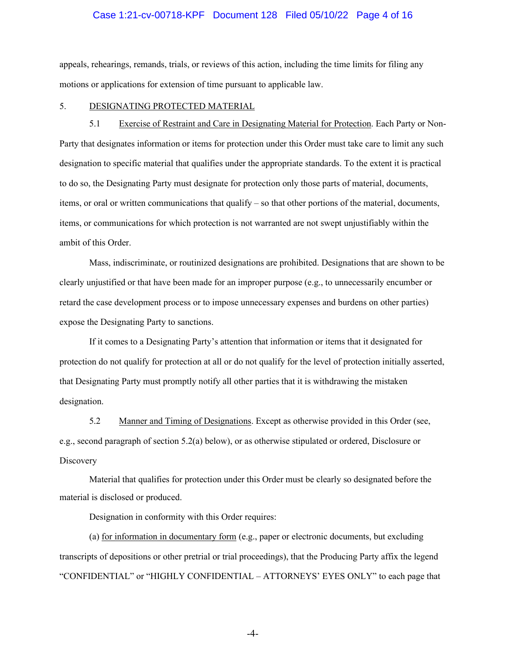## Case 1:21-cv-00718-KPF Document 128 Filed 05/10/22 Page 4 of 16

appeals, rehearings, remands, trials, or reviews of this action, including the time limits for filing any motions or applications for extension of time pursuant to applicable law.

#### 5. DESIGNATING PROTECTED MATERIAL

5.1 Exercise of Restraint and Care in Designating Material for Protection. Each Party or Non-Party that designates information or items for protection under this Order must take care to limit any such designation to specific material that qualifies under the appropriate standards. To the extent it is practical to do so, the Designating Party must designate for protection only those parts of material, documents, items, or oral or written communications that qualify – so that other portions of the material, documents, items, or communications for which protection is not warranted are not swept unjustifiably within the ambit of this Order.

Mass, indiscriminate, or routinized designations are prohibited. Designations that are shown to be clearly unjustified or that have been made for an improper purpose (e.g., to unnecessarily encumber or retard the case development process or to impose unnecessary expenses and burdens on other parties) expose the Designating Party to sanctions.

If it comes to a Designating Party's attention that information or items that it designated for protection do not qualify for protection at all or do not qualify for the level of protection initially asserted, that Designating Party must promptly notify all other parties that it is withdrawing the mistaken designation.

5.2 Manner and Timing of Designations. Except as otherwise provided in this Order (see, e.g., second paragraph of section 5.2(a) below), or as otherwise stipulated or ordered, Disclosure or **Discovery** 

Material that qualifies for protection under this Order must be clearly so designated before the material is disclosed or produced.

Designation in conformity with this Order requires:

(a) for information in documentary form (e.g., paper or electronic documents, but excluding transcripts of depositions or other pretrial or trial proceedings), that the Producing Party affix the legend "CONFIDENTIAL" or "HIGHLY CONFIDENTIAL – ATTORNEYS' EYES ONLY" to each page that

-4-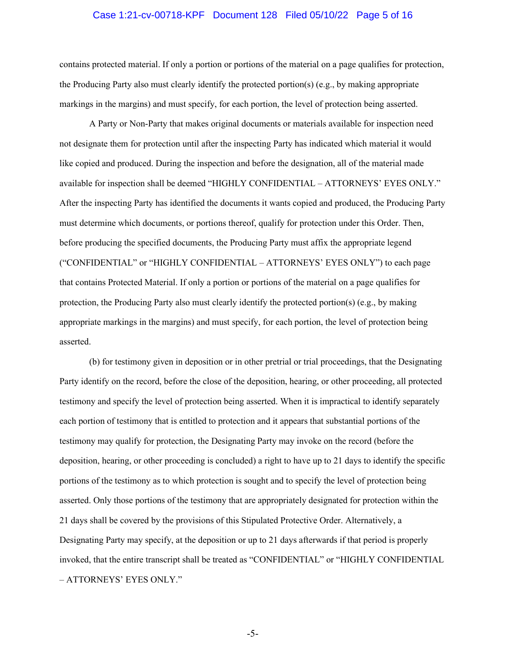## Case 1:21-cv-00718-KPF Document 128 Filed 05/10/22 Page 5 of 16

contains protected material. If only a portion or portions of the material on a page qualifies for protection, the Producing Party also must clearly identify the protected portion(s) (e.g., by making appropriate markings in the margins) and must specify, for each portion, the level of protection being asserted.

A Party or Non-Party that makes original documents or materials available for inspection need not designate them for protection until after the inspecting Party has indicated which material it would like copied and produced. During the inspection and before the designation, all of the material made available for inspection shall be deemed "HIGHLY CONFIDENTIAL – ATTORNEYS' EYES ONLY." After the inspecting Party has identified the documents it wants copied and produced, the Producing Party must determine which documents, or portions thereof, qualify for protection under this Order. Then, before producing the specified documents, the Producing Party must affix the appropriate legend ("CONFIDENTIAL" or "HIGHLY CONFIDENTIAL – ATTORNEYS' EYES ONLY") to each page that contains Protected Material. If only a portion or portions of the material on a page qualifies for protection, the Producing Party also must clearly identify the protected portion(s) (e.g., by making appropriate markings in the margins) and must specify, for each portion, the level of protection being asserted.

(b) for testimony given in deposition or in other pretrial or trial proceedings, that the Designating Party identify on the record, before the close of the deposition, hearing, or other proceeding, all protected testimony and specify the level of protection being asserted. When it is impractical to identify separately each portion of testimony that is entitled to protection and it appears that substantial portions of the testimony may qualify for protection, the Designating Party may invoke on the record (before the deposition, hearing, or other proceeding is concluded) a right to have up to 21 days to identify the specific portions of the testimony as to which protection is sought and to specify the level of protection being asserted. Only those portions of the testimony that are appropriately designated for protection within the 21 days shall be covered by the provisions of this Stipulated Protective Order. Alternatively, a Designating Party may specify, at the deposition or up to 21 days afterwards if that period is properly invoked, that the entire transcript shall be treated as "CONFIDENTIAL" or "HIGHLY CONFIDENTIAL – ATTORNEYS' EYES ONLY."

-5-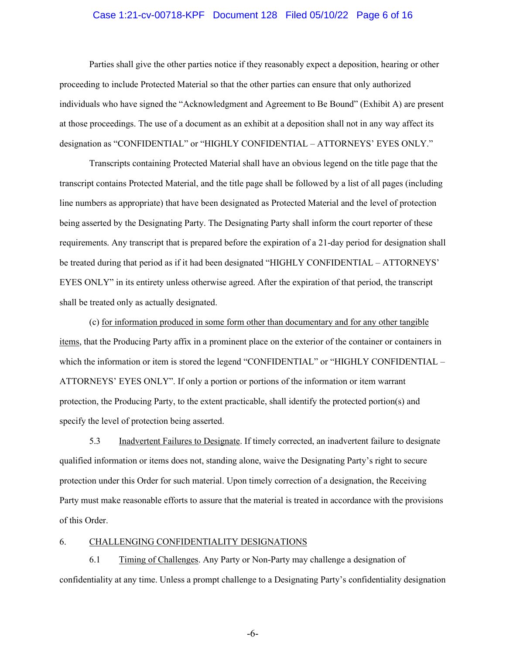# Case 1:21-cv-00718-KPF Document 128 Filed 05/10/22 Page 6 of 16

Parties shall give the other parties notice if they reasonably expect a deposition, hearing or other proceeding to include Protected Material so that the other parties can ensure that only authorized individuals who have signed the "Acknowledgment and Agreement to Be Bound" (Exhibit A) are present at those proceedings. The use of a document as an exhibit at a deposition shall not in any way affect its designation as "CONFIDENTIAL" or "HIGHLY CONFIDENTIAL – ATTORNEYS' EYES ONLY."

Transcripts containing Protected Material shall have an obvious legend on the title page that the transcript contains Protected Material, and the title page shall be followed by a list of all pages (including line numbers as appropriate) that have been designated as Protected Material and the level of protection being asserted by the Designating Party. The Designating Party shall inform the court reporter of these requirements. Any transcript that is prepared before the expiration of a 21-day period for designation shall be treated during that period as if it had been designated "HIGHLY CONFIDENTIAL – ATTORNEYS' EYES ONLY" in its entirety unless otherwise agreed. After the expiration of that period, the transcript shall be treated only as actually designated.

(c) for information produced in some form other than documentary and for any other tangible items, that the Producing Party affix in a prominent place on the exterior of the container or containers in which the information or item is stored the legend "CONFIDENTIAL" or "HIGHLY CONFIDENTIAL – ATTORNEYS' EYES ONLY". If only a portion or portions of the information or item warrant protection, the Producing Party, to the extent practicable, shall identify the protected portion(s) and specify the level of protection being asserted.

5.3 Inadvertent Failures to Designate. If timely corrected, an inadvertent failure to designate qualified information or items does not, standing alone, waive the Designating Party's right to secure protection under this Order for such material. Upon timely correction of a designation, the Receiving Party must make reasonable efforts to assure that the material is treated in accordance with the provisions of this Order.

#### 6. CHALLENGING CONFIDENTIALITY DESIGNATIONS

6.1 Timing of Challenges. Any Party or Non-Party may challenge a designation of confidentiality at any time. Unless a prompt challenge to a Designating Party's confidentiality designation

-6-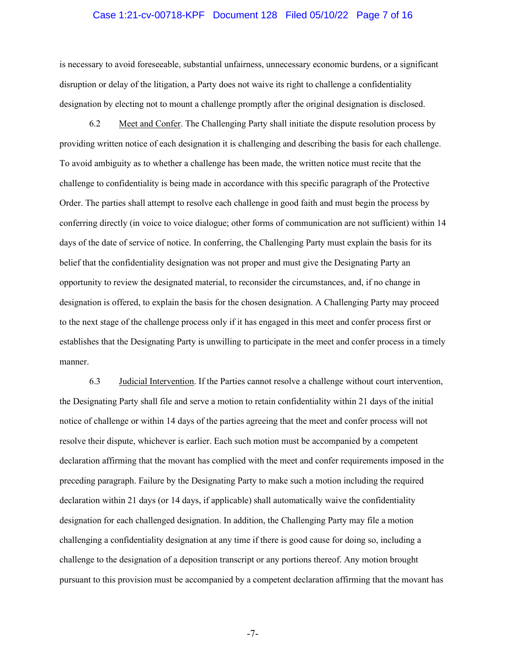## Case 1:21-cv-00718-KPF Document 128 Filed 05/10/22 Page 7 of 16

is necessary to avoid foreseeable, substantial unfairness, unnecessary economic burdens, or a significant disruption or delay of the litigation, a Party does not waive its right to challenge a confidentiality designation by electing not to mount a challenge promptly after the original designation is disclosed.

6.2 Meet and Confer. The Challenging Party shall initiate the dispute resolution process by providing written notice of each designation it is challenging and describing the basis for each challenge. To avoid ambiguity as to whether a challenge has been made, the written notice must recite that the challenge to confidentiality is being made in accordance with this specific paragraph of the Protective Order. The parties shall attempt to resolve each challenge in good faith and must begin the process by conferring directly (in voice to voice dialogue; other forms of communication are not sufficient) within 14 days of the date of service of notice. In conferring, the Challenging Party must explain the basis for its belief that the confidentiality designation was not proper and must give the Designating Party an opportunity to review the designated material, to reconsider the circumstances, and, if no change in designation is offered, to explain the basis for the chosen designation. A Challenging Party may proceed to the next stage of the challenge process only if it has engaged in this meet and confer process first or establishes that the Designating Party is unwilling to participate in the meet and confer process in a timely manner.

6.3 Judicial Intervention. If the Parties cannot resolve a challenge without court intervention, the Designating Party shall file and serve a motion to retain confidentiality within 21 days of the initial notice of challenge or within 14 days of the parties agreeing that the meet and confer process will not resolve their dispute, whichever is earlier. Each such motion must be accompanied by a competent declaration affirming that the movant has complied with the meet and confer requirements imposed in the preceding paragraph. Failure by the Designating Party to make such a motion including the required declaration within 21 days (or 14 days, if applicable) shall automatically waive the confidentiality designation for each challenged designation. In addition, the Challenging Party may file a motion challenging a confidentiality designation at any time if there is good cause for doing so, including a challenge to the designation of a deposition transcript or any portions thereof. Any motion brought pursuant to this provision must be accompanied by a competent declaration affirming that the movant has

-7-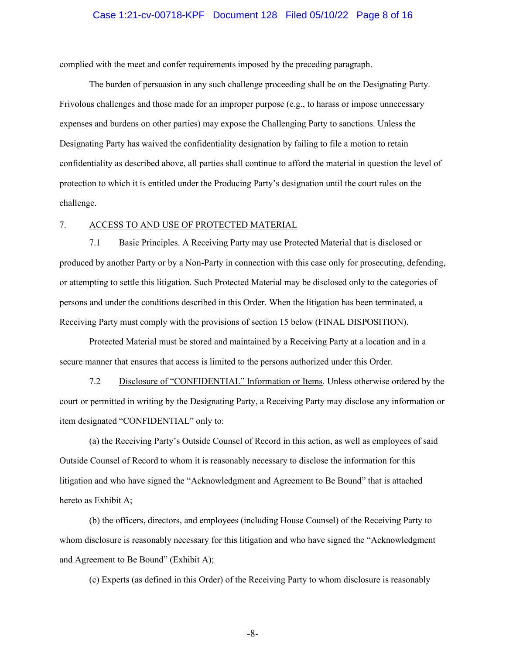# Case 1:21-cv-00718-KPF Document 128 Filed 05/10/22 Page 8 of 16

complied with the meet and confer requirements imposed by the preceding paragraph.

The burden of persuasion in any such challenge proceeding shall be on the Designating Party. Frivolous challenges and those made for an improper purpose (e.g., to harass or impose unnecessary expenses and burdens on other parties) may expose the Challenging Party to sanctions. Unless the Designating Party has waived the confidentiality designation by failing to file a motion to retain confidentiality as described above, all parties shall continue to afford the material in question the level of protection to which it is entitled under the Producing Party's designation until the court rules on the challenge.

#### 7. ACCESS TO AND USE OF PROTECTED MATERIAL

7.1 Basic Principles. A Receiving Party may use Protected Material that is disclosed or produced by another Party or by a Non-Party in connection with this case only for prosecuting, defending, or attempting to settle this litigation. Such Protected Material may be disclosed only to the categories of persons and under the conditions described in this Order. When the litigation has been terminated, a Receiving Party must comply with the provisions of section 15 below (FINAL DISPOSITION).

Protected Material must be stored and maintained by a Receiving Party at a location and in a secure manner that ensures that access is limited to the persons authorized under this Order.

7.2 Disclosure of "CONFIDENTIAL" Information or Items. Unless otherwise ordered by the court or permitted in writing by the Designating Party, a Receiving Party may disclose any information or item designated "CONFIDENTIAL" only to:

(a) the Receiving Party's Outside Counsel of Record in this action, as well as employees of said Outside Counsel of Record to whom it is reasonably necessary to disclose the information for this litigation and who have signed the "Acknowledgment and Agreement to Be Bound" that is attached hereto as Exhibit A;

(b) the officers, directors, and employees (including House Counsel) of the Receiving Party to whom disclosure is reasonably necessary for this litigation and who have signed the "Acknowledgment and Agreement to Be Bound" (Exhibit A);

(c) Experts (as defined in this Order) of the Receiving Party to whom disclosure is reasonably

-8-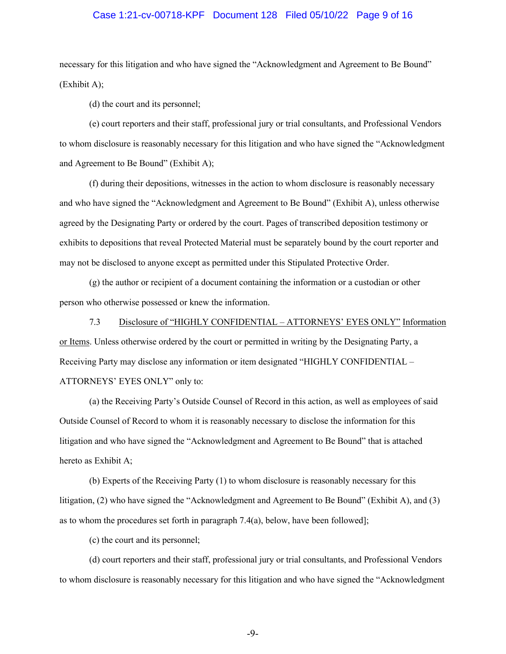# Case 1:21-cv-00718-KPF Document 128 Filed 05/10/22 Page 9 of 16

necessary for this litigation and who have signed the "Acknowledgment and Agreement to Be Bound" (Exhibit A);

(d) the court and its personnel;

(e) court reporters and their staff, professional jury or trial consultants, and Professional Vendors to whom disclosure is reasonably necessary for this litigation and who have signed the "Acknowledgment and Agreement to Be Bound" (Exhibit A);

(f) during their depositions, witnesses in the action to whom disclosure is reasonably necessary and who have signed the "Acknowledgment and Agreement to Be Bound" (Exhibit A), unless otherwise agreed by the Designating Party or ordered by the court. Pages of transcribed deposition testimony or exhibits to depositions that reveal Protected Material must be separately bound by the court reporter and may not be disclosed to anyone except as permitted under this Stipulated Protective Order.

(g) the author or recipient of a document containing the information or a custodian or other person who otherwise possessed or knew the information.

7.3 Disclosure of "HIGHLY CONFIDENTIAL – ATTORNEYS' EYES ONLY" Information or Items. Unless otherwise ordered by the court or permitted in writing by the Designating Party, a Receiving Party may disclose any information or item designated "HIGHLY CONFIDENTIAL – ATTORNEYS' EYES ONLY" only to:

(a) the Receiving Party's Outside Counsel of Record in this action, as well as employees of said Outside Counsel of Record to whom it is reasonably necessary to disclose the information for this litigation and who have signed the "Acknowledgment and Agreement to Be Bound" that is attached hereto as Exhibit A;

(b) Experts of the Receiving Party (1) to whom disclosure is reasonably necessary for this litigation, (2) who have signed the "Acknowledgment and Agreement to Be Bound" (Exhibit A), and (3) as to whom the procedures set forth in paragraph 7.4(a), below, have been followed];

(c) the court and its personnel;

(d) court reporters and their staff, professional jury or trial consultants, and Professional Vendors to whom disclosure is reasonably necessary for this litigation and who have signed the "Acknowledgment

-9-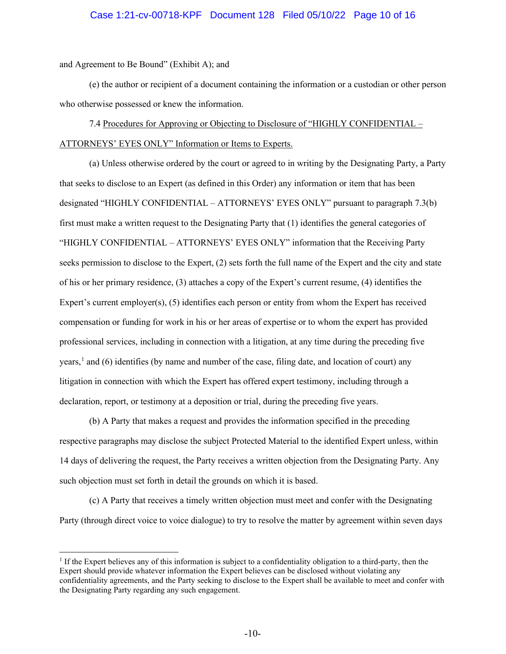# Case 1:21-cv-00718-KPF Document 128 Filed 05/10/22 Page 10 of 16

and Agreement to Be Bound" (Exhibit A); and

(e) the author or recipient of a document containing the information or a custodian or other person who otherwise possessed or knew the information.

7.4 Procedures for Approving or Objecting to Disclosure of "HIGHLY CONFIDENTIAL – ATTORNEYS' EYES ONLY" Information or Items to Experts.

(a) Unless otherwise ordered by the court or agreed to in writing by the Designating Party, a Party that seeks to disclose to an Expert (as defined in this Order) any information or item that has been designated "HIGHLY CONFIDENTIAL – ATTORNEYS' EYES ONLY" pursuant to paragraph 7.3(b) first must make a written request to the Designating Party that (1) identifies the general categories of "HIGHLY CONFIDENTIAL – ATTORNEYS' EYES ONLY" information that the Receiving Party seeks permission to disclose to the Expert, (2) sets forth the full name of the Expert and the city and state of his or her primary residence, (3) attaches a copy of the Expert's current resume, (4) identifies the Expert's current employer(s), (5) identifies each person or entity from whom the Expert has received compensation or funding for work in his or her areas of expertise or to whom the expert has provided professional services, including in connection with a litigation, at any time during the preceding five years,<sup>1</sup> and (6) identifies (by name and number of the case, filing date, and location of court) any litigation in connection with which the Expert has offered expert testimony, including through a declaration, report, or testimony at a deposition or trial, during the preceding five years.

(b) A Party that makes a request and provides the information specified in the preceding respective paragraphs may disclose the subject Protected Material to the identified Expert unless, within 14 days of delivering the request, the Party receives a written objection from the Designating Party. Any such objection must set forth in detail the grounds on which it is based.

(c) A Party that receives a timely written objection must meet and confer with the Designating Party (through direct voice to voice dialogue) to try to resolve the matter by agreement within seven days

<sup>&</sup>lt;sup>1</sup> If the Expert believes any of this information is subject to a confidentiality obligation to a third-party, then the Expert should provide whatever information the Expert believes can be disclosed without violating any confidentiality agreements, and the Party seeking to disclose to the Expert shall be available to meet and confer with the Designating Party regarding any such engagement.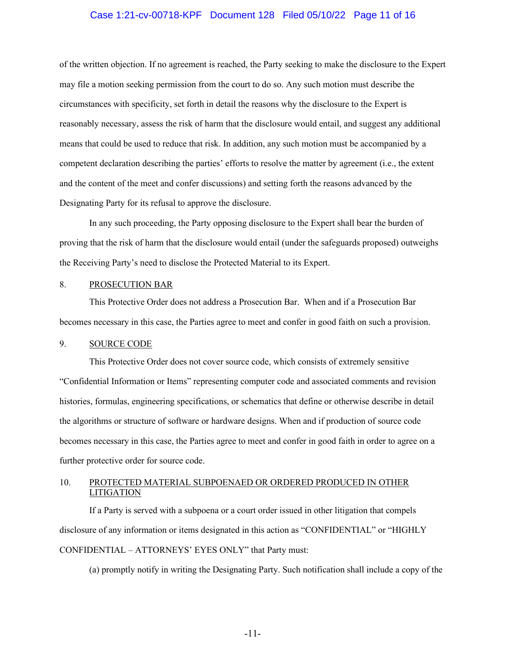## Case 1:21-cv-00718-KPF Document 128 Filed 05/10/22 Page 11 of 16

of the written objection. If no agreement is reached, the Party seeking to make the disclosure to the Expert may file a motion seeking permission from the court to do so. Any such motion must describe the circumstances with specificity, set forth in detail the reasons why the disclosure to the Expert is reasonably necessary, assess the risk of harm that the disclosure would entail, and suggest any additional means that could be used to reduce that risk. In addition, any such motion must be accompanied by a competent declaration describing the parties' efforts to resolve the matter by agreement (i.e., the extent and the content of the meet and confer discussions) and setting forth the reasons advanced by the Designating Party for its refusal to approve the disclosure.

In any such proceeding, the Party opposing disclosure to the Expert shall bear the burden of proving that the risk of harm that the disclosure would entail (under the safeguards proposed) outweighs the Receiving Party's need to disclose the Protected Material to its Expert.

#### 8. PROSECUTION BAR

This Protective Order does not address a Prosecution Bar. When and if a Prosecution Bar becomes necessary in this case, the Parties agree to meet and confer in good faith on such a provision.

## 9. SOURCE CODE

This Protective Order does not cover source code, which consists of extremely sensitive "Confidential Information or Items" representing computer code and associated comments and revision histories, formulas, engineering specifications, or schematics that define or otherwise describe in detail the algorithms or structure of software or hardware designs. When and if production of source code becomes necessary in this case, the Parties agree to meet and confer in good faith in order to agree on a further protective order for source code.

# 10. PROTECTED MATERIAL SUBPOENAED OR ORDERED PRODUCED IN OTHER LITIGATION

If a Party is served with a subpoena or a court order issued in other litigation that compels disclosure of any information or items designated in this action as "CONFIDENTIAL" or "HIGHLY CONFIDENTIAL – ATTORNEYS' EYES ONLY" that Party must:

(a) promptly notify in writing the Designating Party. Such notification shall include a copy of the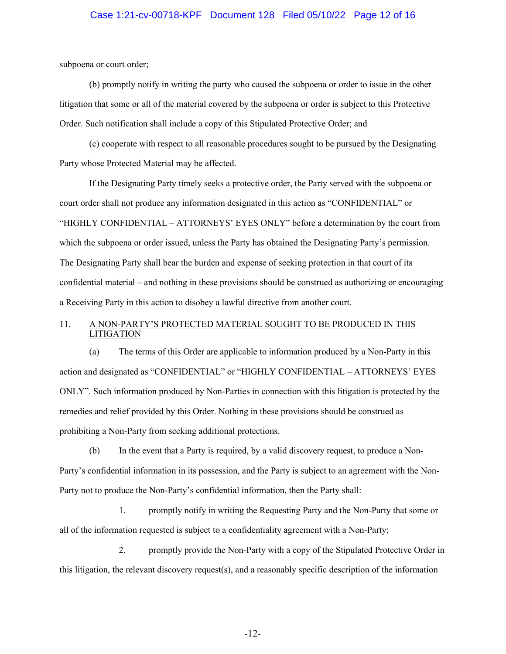# Case 1:21-cv-00718-KPF Document 128 Filed 05/10/22 Page 12 of 16

subpoena or court order;

(b) promptly notify in writing the party who caused the subpoena or order to issue in the other litigation that some or all of the material covered by the subpoena or order is subject to this Protective Order. Such notification shall include a copy of this Stipulated Protective Order; and

(c) cooperate with respect to all reasonable procedures sought to be pursued by the Designating Party whose Protected Material may be affected.

If the Designating Party timely seeks a protective order, the Party served with the subpoena or court order shall not produce any information designated in this action as "CONFIDENTIAL" or "HIGHLY CONFIDENTIAL – ATTORNEYS' EYES ONLY" before a determination by the court from which the subpoena or order issued, unless the Party has obtained the Designating Party's permission. The Designating Party shall bear the burden and expense of seeking protection in that court of its confidential material – and nothing in these provisions should be construed as authorizing or encouraging a Receiving Party in this action to disobey a lawful directive from another court.

# 11. A NON-PARTY'S PROTECTED MATERIAL SOUGHT TO BE PRODUCED IN THIS LITIGATION

(a) The terms of this Order are applicable to information produced by a Non-Party in this action and designated as "CONFIDENTIAL" or "HIGHLY CONFIDENTIAL – ATTORNEYS' EYES ONLY". Such information produced by Non-Parties in connection with this litigation is protected by the remedies and relief provided by this Order. Nothing in these provisions should be construed as prohibiting a Non-Party from seeking additional protections.

(b) In the event that a Party is required, by a valid discovery request, to produce a Non-Party's confidential information in its possession, and the Party is subject to an agreement with the Non-Party not to produce the Non-Party's confidential information, then the Party shall:

1. promptly notify in writing the Requesting Party and the Non-Party that some or all of the information requested is subject to a confidentiality agreement with a Non-Party;

2. promptly provide the Non-Party with a copy of the Stipulated Protective Order in this litigation, the relevant discovery request(s), and a reasonably specific description of the information

-12-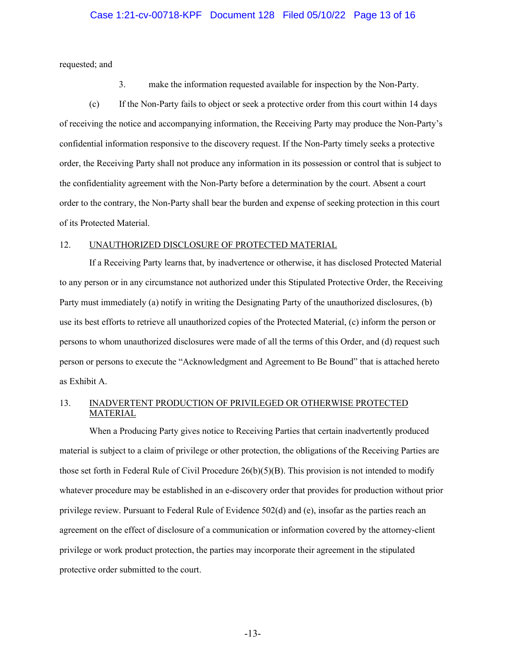## Case 1:21-cv-00718-KPF Document 128 Filed 05/10/22 Page 13 of 16

requested; and

3. make the information requested available for inspection by the Non-Party.

(c) If the Non-Party fails to object or seek a protective order from this court within 14 days of receiving the notice and accompanying information, the Receiving Party may produce the Non-Party's confidential information responsive to the discovery request. If the Non-Party timely seeks a protective order, the Receiving Party shall not produce any information in its possession or control that is subject to the confidentiality agreement with the Non-Party before a determination by the court. Absent a court order to the contrary, the Non-Party shall bear the burden and expense of seeking protection in this court of its Protected Material.

#### 12. UNAUTHORIZED DISCLOSURE OF PROTECTED MATERIAL

If a Receiving Party learns that, by inadvertence or otherwise, it has disclosed Protected Material to any person or in any circumstance not authorized under this Stipulated Protective Order, the Receiving Party must immediately (a) notify in writing the Designating Party of the unauthorized disclosures, (b) use its best efforts to retrieve all unauthorized copies of the Protected Material, (c) inform the person or persons to whom unauthorized disclosures were made of all the terms of this Order, and (d) request such person or persons to execute the "Acknowledgment and Agreement to Be Bound" that is attached hereto as Exhibit A.

#### 13. INADVERTENT PRODUCTION OF PRIVILEGED OR OTHERWISE PROTECTED MATERIAL

When a Producing Party gives notice to Receiving Parties that certain inadvertently produced material is subject to a claim of privilege or other protection, the obligations of the Receiving Parties are those set forth in Federal Rule of Civil Procedure  $26(b)(5)(B)$ . This provision is not intended to modify whatever procedure may be established in an e-discovery order that provides for production without prior privilege review. Pursuant to Federal Rule of Evidence 502(d) and (e), insofar as the parties reach an agreement on the effect of disclosure of a communication or information covered by the attorney-client privilege or work product protection, the parties may incorporate their agreement in the stipulated protective order submitted to the court.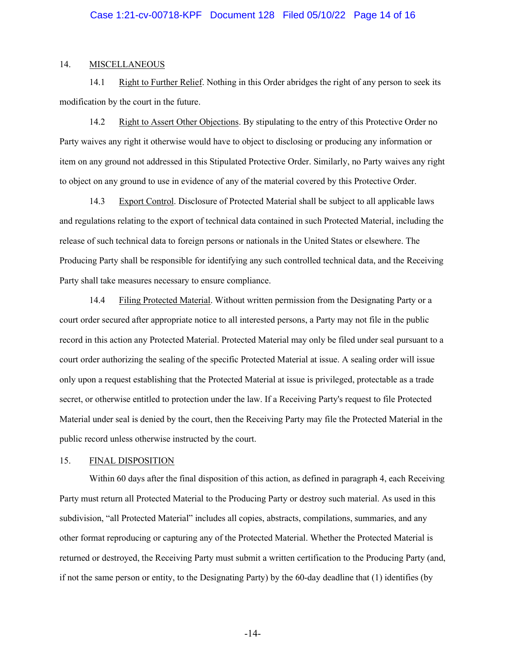## 14. MISCELLANEOUS

14.1 Right to Further Relief. Nothing in this Order abridges the right of any person to seek its modification by the court in the future.

14.2 Right to Assert Other Objections. By stipulating to the entry of this Protective Order no Party waives any right it otherwise would have to object to disclosing or producing any information or item on any ground not addressed in this Stipulated Protective Order. Similarly, no Party waives any right to object on any ground to use in evidence of any of the material covered by this Protective Order.

14.3 Export Control. Disclosure of Protected Material shall be subject to all applicable laws and regulations relating to the export of technical data contained in such Protected Material, including the release of such technical data to foreign persons or nationals in the United States or elsewhere. The Producing Party shall be responsible for identifying any such controlled technical data, and the Receiving Party shall take measures necessary to ensure compliance.

14.4 Filing Protected Material. Without written permission from the Designating Party or a court order secured after appropriate notice to all interested persons, a Party may not file in the public record in this action any Protected Material. Protected Material may only be filed under seal pursuant to a court order authorizing the sealing of the specific Protected Material at issue. A sealing order will issue only upon a request establishing that the Protected Material at issue is privileged, protectable as a trade secret, or otherwise entitled to protection under the law. If a Receiving Party's request to file Protected Material under seal is denied by the court, then the Receiving Party may file the Protected Material in the public record unless otherwise instructed by the court.

#### 15. FINAL DISPOSITION

Within 60 days after the final disposition of this action, as defined in paragraph 4, each Receiving Party must return all Protected Material to the Producing Party or destroy such material. As used in this subdivision, "all Protected Material" includes all copies, abstracts, compilations, summaries, and any other format reproducing or capturing any of the Protected Material. Whether the Protected Material is returned or destroyed, the Receiving Party must submit a written certification to the Producing Party (and, if not the same person or entity, to the Designating Party) by the 60-day deadline that (1) identifies (by

-14-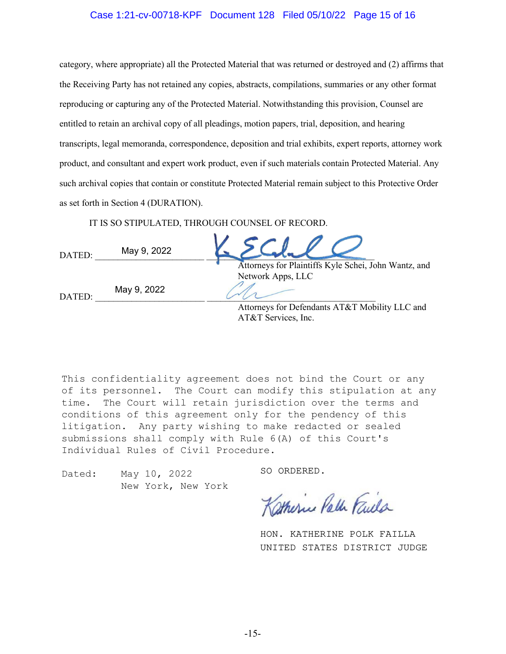# Case 1:21-cv-00718-KPF Document 128 Filed 05/10/22 Page 15 of 16

category, where appropriate) all the Protected Material that was returned or destroyed and (2) affirms that the Receiving Party has not retained any copies, abstracts, compilations, summaries or any other format reproducing or capturing any of the Protected Material. Notwithstanding this provision, Counsel are entitled to retain an archival copy of all pleadings, motion papers, trial, deposition, and hearing transcripts, legal memoranda, correspondence, deposition and trial exhibits, expert reports, attorney work product, and consultant and expert work product, even if such materials contain Protected Material. Any such archival copies that contain or constitute Protected Material remain subject to this Protective Order as set forth in Section 4 (DURATION).

IT IS SO STIPULATED, THROUGH COUNSEL OF RECORD.

| DATED: | May 9, 2022 |                                                      |
|--------|-------------|------------------------------------------------------|
|        |             | Attorneys for Plaintiffs Kyle Schei, John Wantz, and |
| DATED: |             | Network Apps, LLC                                    |
|        | May 9, 2022 |                                                      |
|        |             | Attorneys for Defendants AT&T Mobility LLC and       |
|        |             | AT&T Services, Inc.                                  |

This confidentiality agreement does not bind the Court or any of its personnel. The Court can modify this stipulation at any time. The Court will retain jurisdiction over the terms and conditions of this agreement only for the pendency of this litigation. Any party wishing to make redacted or sealed submissions shall comply with Rule 6(A) of this Court's Individual Rules of Civil Procedure.

Dated: May 10, 2022 New York, New York SO ORDERED.

Katherine Path Failer

HON. KATHERINE POLK FAILLA UNITED STATES DISTRICT JUDGE